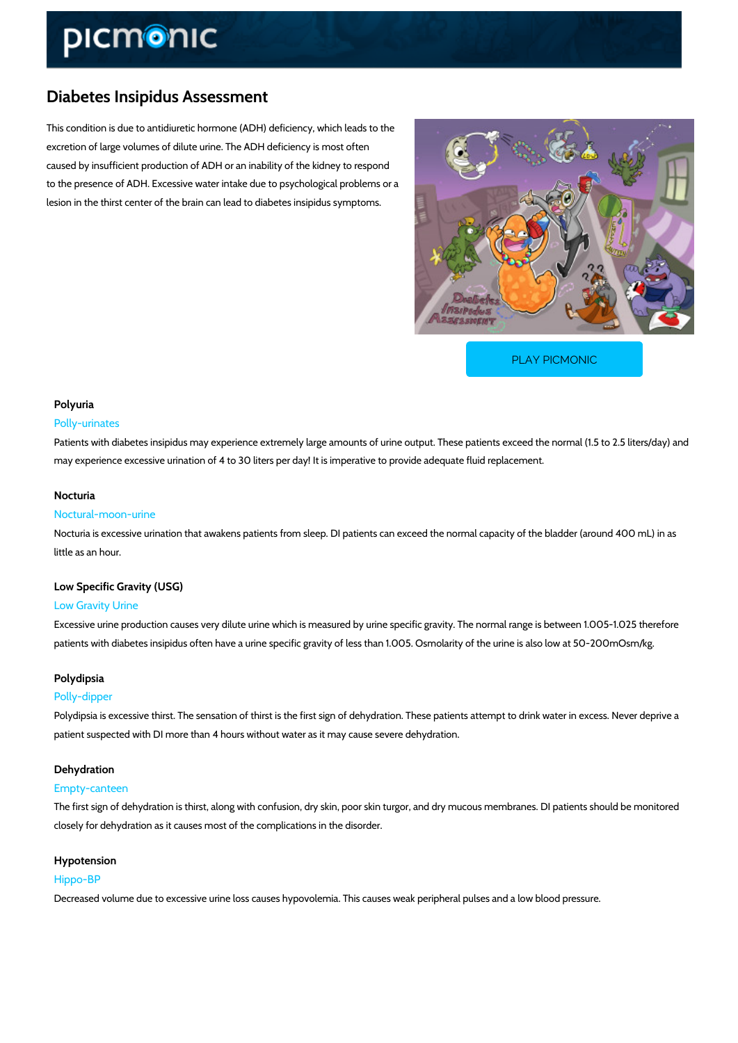# Diabetes Insipidus Assessment

This condition is due to antidiuretic hormone (ADH) deficiency, which leads to the excretion of large volumes of dilute urine. The ADH deficiency is most often caused by insufficient production of ADH or an inability of the kidney to respond to the presence of ADH. Excessive water intake due to psychological problems or a lesion in the thirst center of the brain can lead to diabetes insipidus symptoms.

[PLAY PICMONIC](https://www.picmonic.com/learn/diabetes-insipidus-assessment_1718?utm_source=downloadable_content&utm_medium=distributedcontent&utm_campaign=pathways_pdf&utm_content=Diabetes Insipidus Assessment&utm_ad_group=leads&utm_market=all)

### Polyuria

### Polly-urinates

Patients with diabetes insipidus may experience extremely large amounts of urine output. The may experience excessive urination of 4 to 30 liters per day! It is imperative to provide adequ

### Nocturia

#### Noctural-moon-urine

Nocturia is excessive urination that awakens patients from sleep. DI patients can exceed the little as an hour.

# Low Specific Gravity (USG)

# Low Gravity Urine

Excessive urine production causes very dilute urine which is measured by urine specific gravi patients with diabetes insipidus often have a urine specific gravity of less than 1.005. Osmola

### Polydipsia

#### Polly-dipper

Polydipsia is excessive thirst. The sensation of thirst is the first sign of dehydration. These patients at the metal patient suspected with DI more than 4 hours without water as it may cause severe dehydration.

#### Dehydration

#### Empty-canteen

The first sign of dehydration is thirst, along with confusion, dry skin, poor skin turgor, and dr closely for dehydration as it causes most of the complications in the disorder.

# Hypotension Hippo-BP

Decreased volume due to excessive urine loss causes hypovolemia. This causes weak periphe